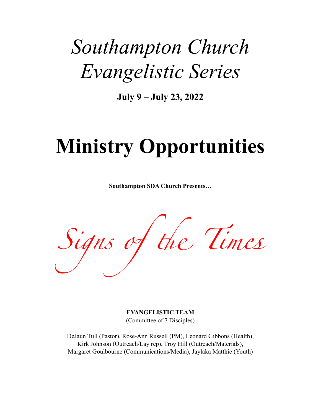## *Southampton Church Evangelistic Series*

**July 9 – July 23, 2022**

# **Ministry Opportunities**

**Southampton SDA Church Presents…**

*Signs of* the *Tim*e

**EVANGELISTIC TEAM**  (Committee of 7 Disciples)

DeJaun Tull (Pastor), Rose-Ann Russell (PM), Leonard Gibbons (Health), Kirk Johnson (Outreach/Lay rep), Troy Hill (Outreach/Materials), Margaret Goulbourne (Communications/Media), Jaylaka Matthie (Youth)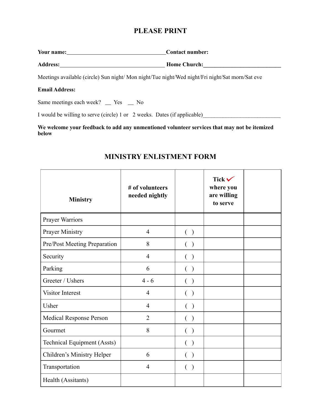## **PLEASE PRINT**

|            | <b>Contact number:</b> |
|------------|------------------------|
|            |                        |
| Your name: |                        |

**Address: Home Church:\_\_\_\_\_\_\_\_\_\_\_\_\_\_\_\_\_\_\_\_\_\_\_\_\_\_\_** 

Meetings available (circle) Sun night/ Mon night/Tue night/Wed night/Fri night/Sat morn/Sat eve

#### **Email Address:**

Same meetings each week?  $\angle$  Yes  $\angle$  No

I would be willing to serve (circle) 1 or 2 weeks. Dates (if applicable)

**We welcome your feedback to add any unmentioned volunteer services that may not be itemized below** 

| <b>Ministry</b>              | # of volunteers<br>needed nightly |                    | Tick $\checkmark$<br>where you<br>are willing<br>to serve |  |
|------------------------------|-----------------------------------|--------------------|-----------------------------------------------------------|--|
| Prayer Warriors              |                                   |                    |                                                           |  |
| <b>Prayer Ministry</b>       | $\overline{4}$                    | ( )                |                                                           |  |
| Pre/Post Meeting Preparation | 8                                 | ( )                |                                                           |  |
| Security                     | $\overline{4}$                    | ( )                |                                                           |  |
| Parking                      | 6                                 | ( )                |                                                           |  |
| Greeter / Ushers             | $4 - 6$                           | ( )                |                                                           |  |
| Visitor Interest             | $\overline{4}$                    | ( )                |                                                           |  |
| Usher                        | $\overline{4}$                    | $($ )              |                                                           |  |
| Medical Response Person      | $\overline{2}$                    | €<br>$\rightarrow$ |                                                           |  |
| Gourmet                      | 8                                 | €<br>$\big)$       |                                                           |  |
| Technical Equipment (Assts)  |                                   | $(\ )$             |                                                           |  |
| Children's Ministry Helper   | 6                                 | $($ )              |                                                           |  |
| Transportation               | $\overline{4}$                    | ( )                |                                                           |  |
| Health (Assitants)           |                                   |                    |                                                           |  |

## **MINISTRY ENLISTMENT FORM**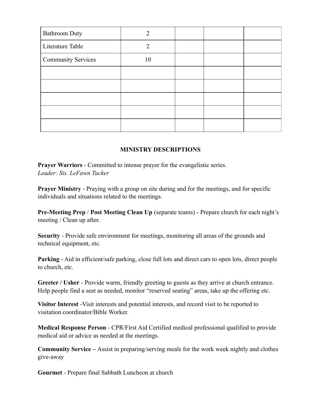| <b>Bathroom Duty</b>      |                |  |  |
|---------------------------|----------------|--|--|
| Literature Table          | $\overline{2}$ |  |  |
| <b>Community Services</b> | 10             |  |  |
|                           |                |  |  |
|                           |                |  |  |
|                           |                |  |  |
|                           |                |  |  |
|                           |                |  |  |

## **MINISTRY DESCRIPTIONS**

**Prayer Warriors** - Committed to intense prayer for the evangelistic series. *Leader: Sis. LeFawn Tucker*

**Prayer Ministry** - Praying with a group on site during and for the meetings, and for specific individuals and situations related to the meetings.

**Pre-Meeting Prep** / **Post Meeting Clean Up** (separate teams) - Prepare church for each night's meeting / Clean up after.

**Security** - Provide safe environment for meetings, monitoring all areas of the grounds and technical equipment, etc.

**Parking** - Aid in efficient/safe parking, close full lots and direct cars to open lots, direct people to church, etc.

**Greeter / Usher** - Provide warm, friendly greeting to guests as they arrive at church entrance. Help people find a seat as needed, monitor "reserved seating" areas, take up the offering etc.

**Visitor Interest** -Visit interests and potential interests, and record visit to be reported to visitation coordinator/Bible Worker.

**Medical Response Person** - CPR/First Aid Certified medical professional qualified to provide medical aid or advice as needed at the meetings.

**Community Service –** Assist in preparing/serving meals for the work week nightly and clothes give-away

**Gourmet** - Prepare final Sabbath Luncheon at church